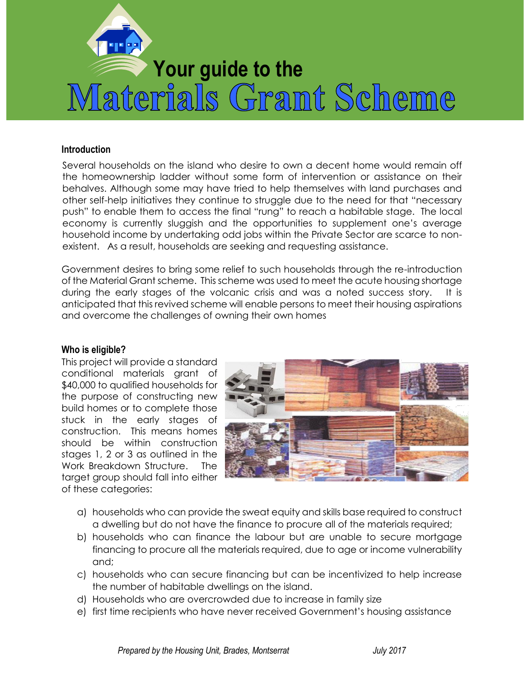

#### **Introduction**

Several households on the island who desire to own a decent home would remain off the homeownership ladder without some form of intervention or assistance on their behalves. Although some may have tried to help themselves with land purchases and other self-help initiatives they continue to struggle due to the need for that "necessary push" to enable them to access the final "rung" to reach a habitable stage. The local economy is currently sluggish and the opportunities to supplement one's average household income by undertaking odd jobs within the Private Sector are scarce to nonexistent. As a result, households are seeking and requesting assistance.

Government desires to bring some relief to such households through the re-introduction of the Material Grant scheme. This scheme was used to meet the acute housing shortage during the early stages of the volcanic crisis and was a noted success story. It is anticipated that this revived scheme will enable persons to meet their housing aspirations and overcome the challenges of owning their own homes

#### **Who is eligible?**

This project will provide a standard conditional materials grant of \$40,000 to qualified households for the purpose of constructing new build homes or to complete those stuck in the early stages of construction. This means homes should be within construction stages 1, 2 or 3 as outlined in the Work Breakdown Structure. The target group should fall into either of these categories:



- a) households who can provide the sweat equity and skills base required to construct a dwelling but do not have the finance to procure all of the materials required;
- b) households who can finance the labour but are unable to secure mortgage financing to procure all the materials required, due to age or income vulnerability and;
- c) households who can secure financing but can be incentivized to help increase the number of habitable dwellings on the island.
- d) Households who are overcrowded due to increase in family size
- e) first time recipients who have never received Government's housing assistance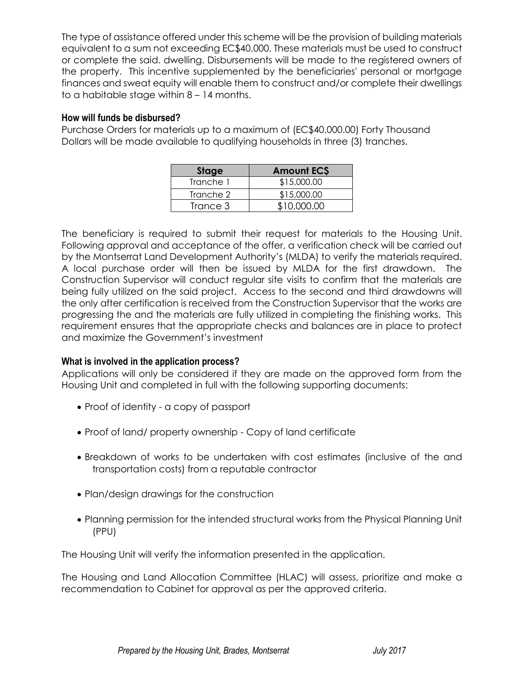The type of assistance offered under this scheme will be the provision of building materials equivalent to a sum not exceeding EC\$40,000. These materials must be used to construct or complete the said. dwelling. Disbursements will be made to the registered owners of the property. This incentive supplemented by the beneficiaries' personal or mortgage finances and sweat equity will enable them to construct and/or complete their dwellings to a habitable stage within 8 – 14 months.

### **How will funds be disbursed?**

Purchase Orders for materials up to a maximum of (EC\$40,000.00) Forty Thousand Dollars will be made available to qualifying households in three (3) tranches.

| Stage     | <b>Amount ECS</b> |
|-----------|-------------------|
| Tranche 1 | \$15,000.00       |
| Tranche 2 | \$15,000.00       |
| Trance 3  | \$10,000.00       |

The beneficiary is required to submit their request for materials to the Housing Unit. Following approval and acceptance of the offer, a verification check will be carried out by the Montserrat Land Development Authority's (MLDA) to verify the materials required. A local purchase order will then be issued by MLDA for the first drawdown. The Construction Supervisor will conduct regular site visits to confirm that the materials are being fully utilized on the said project. Access to the second and third drawdowns will the only after certification is received from the Construction Supervisor that the works are progressing the and the materials are fully utilized in completing the finishing works. This requirement ensures that the appropriate checks and balances are in place to protect and maximize the Government's investment

# **What is involved in the application process?**

Applications will only be considered if they are made on the approved form from the Housing Unit and completed in full with the following supporting documents:

- Proof of identity a copy of passport
- Proof of land/ property ownership Copy of land certificate
- Breakdown of works to be undertaken with cost estimates (inclusive of the and transportation costs) from a reputable contractor
- Plan/design drawings for the construction
- Planning permission for the intended structural works from the Physical Planning Unit (PPU)

The Housing Unit will verify the information presented in the application.

The Housing and Land Allocation Committee (HLAC) will assess, prioritize and make a recommendation to Cabinet for approval as per the approved criteria.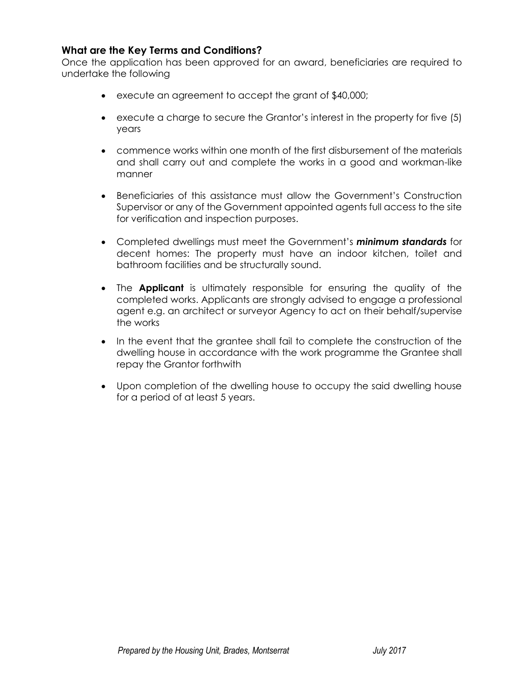### **What are the Key Terms and Conditions?**

Once the application has been approved for an award, beneficiaries are required to undertake the following

- execute an agreement to accept the grant of \$40,000;
- execute a charge to secure the Grantor's interest in the property for five (5) years
- commence works within one month of the first disbursement of the materials and shall carry out and complete the works in a good and workman-like manner
- Beneficiaries of this assistance must allow the Government's Construction Supervisor or any of the Government appointed agents full access to the site for verification and inspection purposes.
- Completed dwellings must meet the Government's *minimum standards* for decent homes: The property must have an indoor kitchen, toilet and bathroom facilities and be structurally sound.
- The **Applicant** is ultimately responsible for ensuring the quality of the completed works. Applicants are strongly advised to engage a professional agent e.g. an architect or surveyor Agency to act on their behalf/supervise the works
- In the event that the grantee shall fail to complete the construction of the dwelling house in accordance with the work programme the Grantee shall repay the Grantor forthwith
- Upon completion of the dwelling house to occupy the said dwelling house for a period of at least 5 years.